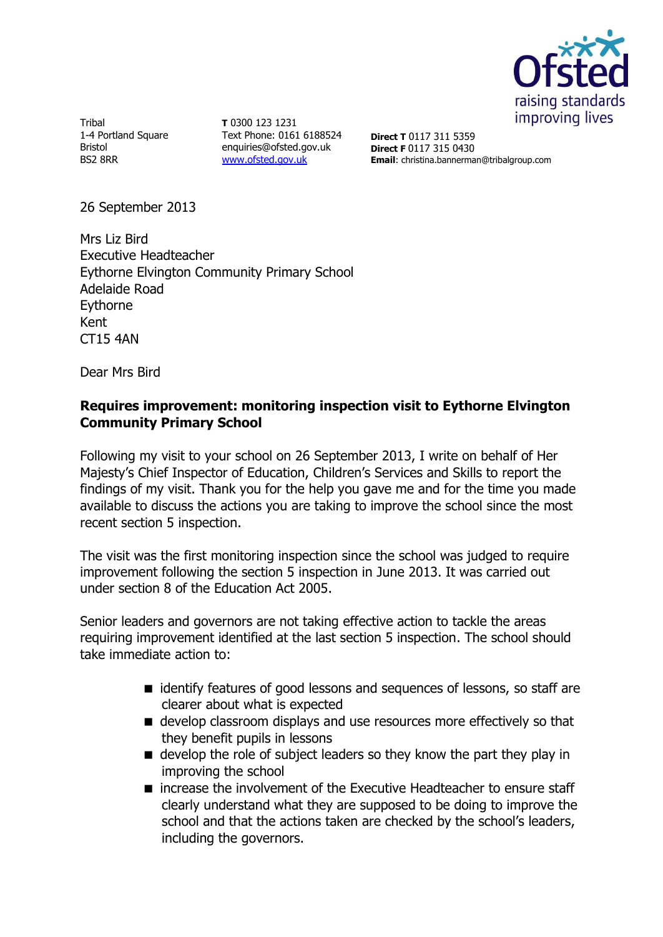

**Tribal** 1-4 Portland Square Bristol BS2 8RR

**T** 0300 123 1231 Text Phone: 0161 6188524 enquiries@ofsted.gov.uk [www.ofsted.gov.uk](http://www.ofsted.gov.uk/)

**Direct T** 0117 311 5359 **Direct F** 0117 315 0430 **Email**: christina.bannerman@tribalgroup.com

26 September 2013

Mrs Liz Bird Executive Headteacher Eythorne Elvington Community Primary School Adelaide Road Eythorne Kent CT15 4AN

Dear Mrs Bird

# **Requires improvement: monitoring inspection visit to Eythorne Elvington Community Primary School**

Following my visit to your school on 26 September 2013, I write on behalf of Her Majesty's Chief Inspector of Education, Children's Services and Skills to report the findings of my visit. Thank you for the help you gave me and for the time you made available to discuss the actions you are taking to improve the school since the most recent section 5 inspection.

The visit was the first monitoring inspection since the school was judged to require improvement following the section 5 inspection in June 2013. It was carried out under section 8 of the Education Act 2005.

Senior leaders and governors are not taking effective action to tackle the areas requiring improvement identified at the last section 5 inspection. The school should take immediate action to:

- identify features of good lessons and sequences of lessons, so staff are clearer about what is expected
- $\blacksquare$  develop classroom displays and use resources more effectively so that they benefit pupils in lessons
- $\blacksquare$  develop the role of subject leaders so they know the part they play in improving the school
- increase the involvement of the Executive Headteacher to ensure staff clearly understand what they are supposed to be doing to improve the school and that the actions taken are checked by the school's leaders, including the governors.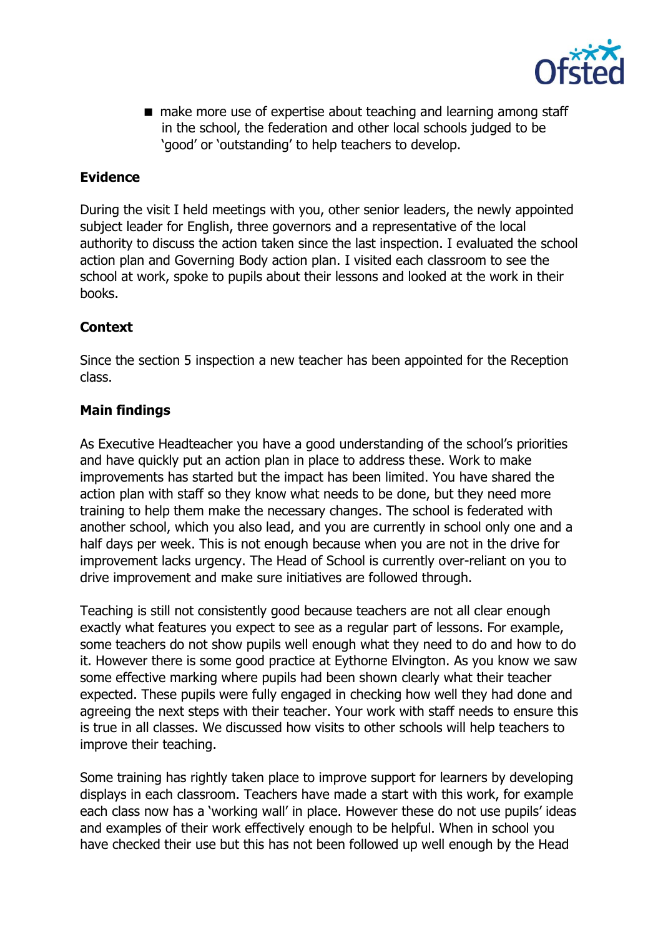

■ make more use of expertise about teaching and learning among staff in the school, the federation and other local schools judged to be 'good' or 'outstanding' to help teachers to develop.

# **Evidence**

During the visit I held meetings with you, other senior leaders, the newly appointed subject leader for English, three governors and a representative of the local authority to discuss the action taken since the last inspection. I evaluated the school action plan and Governing Body action plan. I visited each classroom to see the school at work, spoke to pupils about their lessons and looked at the work in their books.

### **Context**

Since the section 5 inspection a new teacher has been appointed for the Reception class.

# **Main findings**

As Executive Headteacher you have a good understanding of the school's priorities and have quickly put an action plan in place to address these. Work to make improvements has started but the impact has been limited. You have shared the action plan with staff so they know what needs to be done, but they need more training to help them make the necessary changes. The school is federated with another school, which you also lead, and you are currently in school only one and a half days per week. This is not enough because when you are not in the drive for improvement lacks urgency. The Head of School is currently over-reliant on you to drive improvement and make sure initiatives are followed through.

Teaching is still not consistently good because teachers are not all clear enough exactly what features you expect to see as a regular part of lessons. For example, some teachers do not show pupils well enough what they need to do and how to do it. However there is some good practice at Eythorne Elvington. As you know we saw some effective marking where pupils had been shown clearly what their teacher expected. These pupils were fully engaged in checking how well they had done and agreeing the next steps with their teacher. Your work with staff needs to ensure this is true in all classes. We discussed how visits to other schools will help teachers to improve their teaching.

Some training has rightly taken place to improve support for learners by developing displays in each classroom. Teachers have made a start with this work, for example each class now has a 'working wall' in place. However these do not use pupils' ideas and examples of their work effectively enough to be helpful. When in school you have checked their use but this has not been followed up well enough by the Head